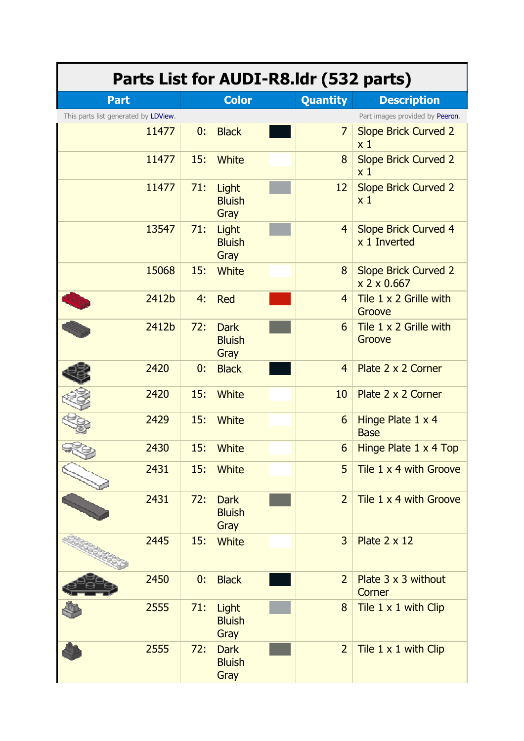| Parts List for AUDI-R8.Idr (532 parts) |       |     |                                      |  |                 |                                               |  |  |
|----------------------------------------|-------|-----|--------------------------------------|--|-----------------|-----------------------------------------------|--|--|
| <b>Part</b>                            |       |     | <b>Color</b>                         |  | <b>Quantity</b> | <b>Description</b>                            |  |  |
| This parts list generated by LDView.   |       |     |                                      |  |                 | Part images provided by Peeron.               |  |  |
|                                        | 11477 | 0:  | <b>Black</b>                         |  | $\overline{7}$  | <b>Slope Brick Curved 2</b><br>x <sub>1</sub> |  |  |
|                                        | 11477 | 15: | White                                |  | 8               | <b>Slope Brick Curved 2</b><br>x <sub>1</sub> |  |  |
|                                        | 11477 | 71: | Light<br><b>Bluish</b><br>Gray       |  | 12              | <b>Slope Brick Curved 2</b><br>x <sub>1</sub> |  |  |
|                                        | 13547 | 71: | Light<br><b>Bluish</b><br>Gray       |  | $\overline{4}$  | <b>Slope Brick Curved 4</b><br>x 1 Inverted   |  |  |
|                                        | 15068 | 15: | <b>White</b>                         |  | 8               | <b>Slope Brick Curved 2</b><br>x 2 x 0.667    |  |  |
|                                        | 2412b | 4:  | <b>Red</b>                           |  | $\overline{4}$  | Tile $1 \times 2$ Grille with<br>Groove       |  |  |
|                                        | 2412b | 72: | <b>Dark</b><br><b>Bluish</b><br>Gray |  | 6               | Tile 1 x 2 Grille with<br>Groove              |  |  |
|                                        | 2420  | 0:  | <b>Black</b>                         |  | $\overline{4}$  | Plate 2 x 2 Corner                            |  |  |
|                                        | 2420  | 15: | White                                |  | 10              | Plate 2 x 2 Corner                            |  |  |
|                                        | 2429  | 15: | White                                |  | 6               | Hinge Plate 1 x 4<br><b>Base</b>              |  |  |
|                                        | 2430  | 15: | White                                |  | 6               | Hinge Plate 1 x 4 Top                         |  |  |
|                                        | 2431  | 15: | <b>White</b>                         |  | 5               | Tile 1 x 4 with Groove                        |  |  |
|                                        | 2431  | 72: | <b>Dark</b><br><b>Bluish</b><br>Gray |  | $\overline{2}$  | Tile 1 x 4 with Groove                        |  |  |
|                                        | 2445  | 15: | <b>White</b>                         |  | $\overline{3}$  | Plate $2 \times 12$                           |  |  |
|                                        | 2450  | 0:  | <b>Black</b>                         |  | $\overline{2}$  | Plate $3 \times 3$ without<br>Corner          |  |  |
|                                        | 2555  | 71: | Light<br><b>Bluish</b><br>Gray       |  | 8               | Tile 1 x 1 with Clip                          |  |  |
|                                        | 2555  | 72: | <b>Dark</b><br><b>Bluish</b><br>Gray |  | $\overline{2}$  | Tile 1 x 1 with Clip                          |  |  |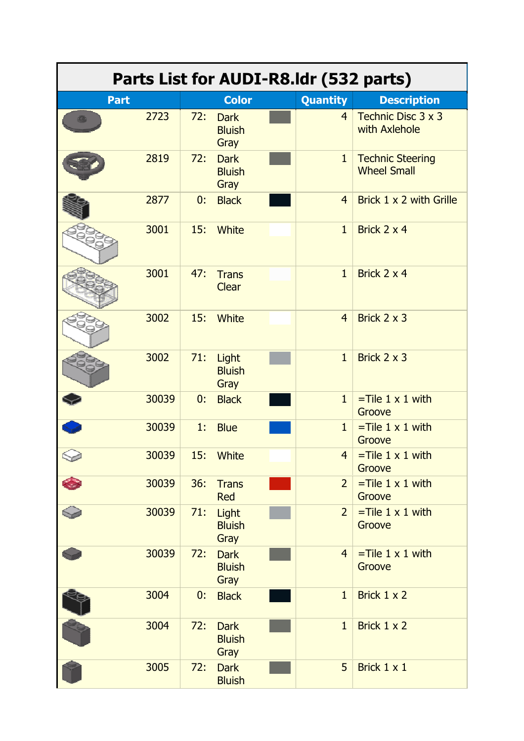| Parts List for AUDI-R8.Idr (532 parts) |       |     |                                      |  |                |                                               |  |
|----------------------------------------|-------|-----|--------------------------------------|--|----------------|-----------------------------------------------|--|
| <b>Part</b>                            |       |     | <b>Color</b>                         |  | Quantity       | <b>Description</b>                            |  |
|                                        | 2723  | 72: | <b>Dark</b><br><b>Bluish</b><br>Gray |  | $\overline{4}$ | Technic Disc 3 x 3<br>with Axlehole           |  |
|                                        | 2819  | 72: | <b>Dark</b><br><b>Bluish</b><br>Gray |  | $\mathbf{1}$   | <b>Technic Steering</b><br><b>Wheel Small</b> |  |
|                                        | 2877  | 0:  | <b>Black</b>                         |  | $\overline{4}$ | Brick 1 x 2 with Grille                       |  |
|                                        | 3001  | 15: | <b>White</b>                         |  | $\mathbf{1}$   | Brick 2 x 4                                   |  |
|                                        | 3001  | 47: | <b>Trans</b><br><b>Clear</b>         |  | $\mathbf{1}$   | Brick 2 x 4                                   |  |
|                                        | 3002  | 15: | White                                |  | $\overline{4}$ | Brick 2 x 3                                   |  |
|                                        | 3002  | 71: | Light<br><b>Bluish</b><br>Gray       |  | $\mathbf{1}$   | Brick 2 x 3                                   |  |
|                                        | 30039 | 0:  | <b>Black</b>                         |  | $\mathbf{1}$   | $=$ Tile 1 x 1 with<br>Groove                 |  |
|                                        | 30039 | 1:  | <b>Blue</b>                          |  | $\mathbf{1}$   | $=$ Tile 1 x 1 with<br>Groove                 |  |
|                                        | 30039 | 15: | <b>White</b>                         |  | $\overline{4}$ | $=$ Tile 1 x 1 with<br>Groove                 |  |
|                                        | 30039 | 36: | <b>Trans</b><br><b>Red</b>           |  | $\overline{2}$ | $=$ Tile 1 x 1 with<br>Groove                 |  |
|                                        | 30039 | 71: | Light<br><b>Bluish</b><br>Gray       |  | $\overline{2}$ | $=$ Tile 1 x 1 with<br>Groove                 |  |
|                                        | 30039 | 72: | <b>Dark</b><br><b>Bluish</b><br>Gray |  | $\overline{4}$ | $=$ Tile 1 x 1 with<br>Groove                 |  |
|                                        | 3004  | 0:  | <b>Black</b>                         |  | $\mathbf{1}$   | Brick 1 x 2                                   |  |
|                                        | 3004  | 72: | <b>Dark</b><br><b>Bluish</b><br>Gray |  | $\mathbf{1}$   | Brick 1 x 2                                   |  |
|                                        | 3005  | 72: | <b>Dark</b><br><b>Bluish</b>         |  | 5              | Brick 1 x 1                                   |  |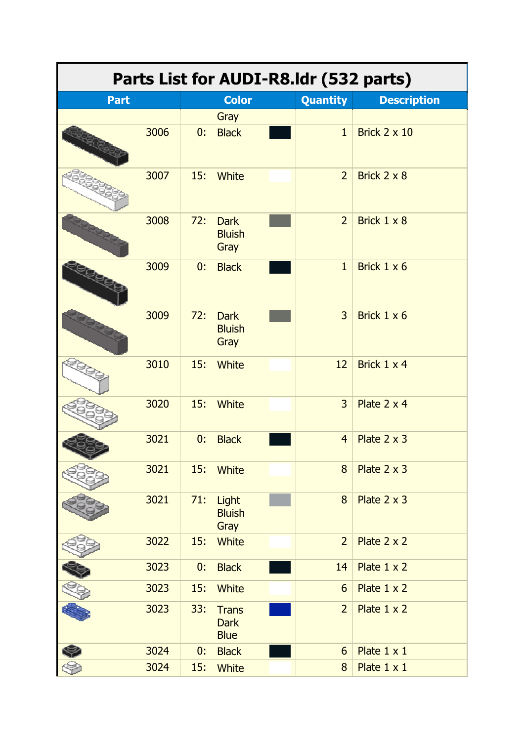| Parts List for AUDI-R8.Idr (532 parts) |      |     |                                            |  |                 |                     |  |
|----------------------------------------|------|-----|--------------------------------------------|--|-----------------|---------------------|--|
| <b>Part</b>                            |      |     | <b>Color</b>                               |  | <b>Quantity</b> | <b>Description</b>  |  |
|                                        |      |     | Gray                                       |  |                 |                     |  |
|                                        | 3006 | 0:  | <b>Black</b>                               |  | $\mathbf{1}$    | Brick $2 \times 10$ |  |
|                                        | 3007 | 15: | <b>White</b>                               |  | $\overline{2}$  | Brick 2 x 8         |  |
|                                        | 3008 | 72: | <b>Dark</b><br><b>Bluish</b><br>Gray       |  | $\overline{2}$  | Brick $1 \times 8$  |  |
|                                        | 3009 | 0:  | <b>Black</b>                               |  | $\mathbf{1}$    | Brick 1 x 6         |  |
|                                        | 3009 | 72: | <b>Dark</b><br><b>Bluish</b><br>Gray       |  | $\overline{3}$  | Brick $1 \times 6$  |  |
|                                        | 3010 | 15: | <b>White</b>                               |  | 12              | Brick 1 x 4         |  |
|                                        | 3020 | 15: | <b>White</b>                               |  | $\overline{3}$  | Plate 2 x 4         |  |
|                                        | 3021 | 0:  | <b>Black</b>                               |  | $\overline{4}$  | Plate $2 \times 3$  |  |
|                                        | 3021 | 15: | White                                      |  | 8               | Plate 2 x 3         |  |
|                                        | 3021 | 71: | Light<br><b>Bluish</b><br>Gray             |  | 8               | Plate 2 x 3         |  |
|                                        | 3022 | 15: | <b>White</b>                               |  | $\overline{2}$  | Plate $2 \times 2$  |  |
|                                        | 3023 | 0:  | <b>Black</b>                               |  | 14              | Plate $1 \times 2$  |  |
|                                        | 3023 | 15: | <b>White</b>                               |  | 6               | Plate $1 \times 2$  |  |
|                                        | 3023 | 33: | <b>Trans</b><br><b>Dark</b><br><b>Blue</b> |  | $\overline{2}$  | Plate $1 \times 2$  |  |
|                                        | 3024 | 0:  | <b>Black</b>                               |  | 6               | Plate $1 \times 1$  |  |
|                                        | 3024 | 15: | White                                      |  | 8               | Plate 1 x 1         |  |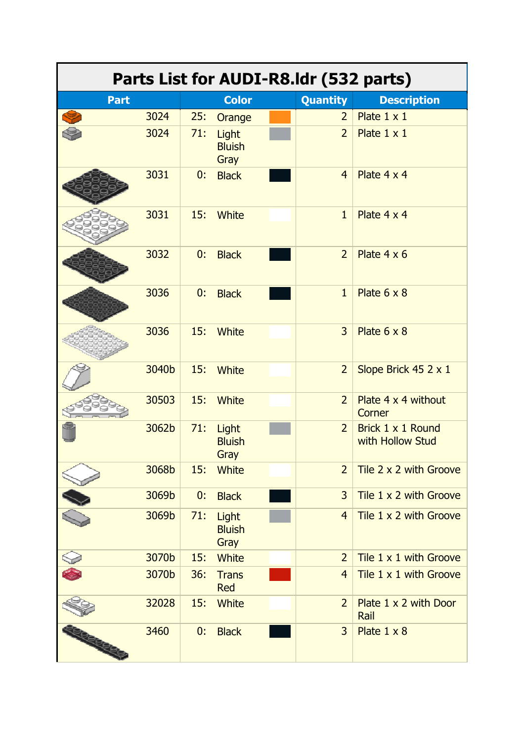| Parts List for AUDI-R8.Idr (532 parts) |       |     |                                |  |                 |                                       |  |
|----------------------------------------|-------|-----|--------------------------------|--|-----------------|---------------------------------------|--|
| <b>Part</b>                            |       |     | <b>Color</b>                   |  | <b>Quantity</b> | <b>Description</b>                    |  |
|                                        | 3024  | 25: | Orange                         |  | $\overline{2}$  | Plate $1 \times 1$                    |  |
|                                        | 3024  | 71: | Light<br><b>Bluish</b><br>Gray |  | $\overline{2}$  | Plate 1 x 1                           |  |
|                                        | 3031  | 0:  | <b>Black</b>                   |  | $\overline{4}$  | Plate 4 x 4                           |  |
|                                        | 3031  | 15: | <b>White</b>                   |  | $\mathbf{1}$    | Plate 4 x 4                           |  |
|                                        | 3032  | 0:  | <b>Black</b>                   |  | $\overline{2}$  | Plate $4 \times 6$                    |  |
|                                        | 3036  | 0:  | <b>Black</b>                   |  | $\mathbf{1}$    | Plate $6 \times 8$                    |  |
|                                        | 3036  | 15: | White                          |  | $\overline{3}$  | Plate $6 \times 8$                    |  |
|                                        | 3040b | 15: | <b>White</b>                   |  | $\overline{2}$  | Slope Brick 45 2 x 1                  |  |
|                                        | 30503 | 15: | White                          |  | $\overline{2}$  | Plate 4 x 4 without<br>Corner         |  |
|                                        | 3062b | 71: | Light<br><b>Bluish</b><br>Gray |  | $\overline{2}$  | Brick 1 x 1 Round<br>with Hollow Stud |  |
|                                        | 3068b | 15: | <b>White</b>                   |  | $\overline{2}$  | Tile 2 x 2 with Groove                |  |
|                                        | 3069b | 0:  | <b>Black</b>                   |  | $\overline{3}$  | Tile 1 x 2 with Groove                |  |
|                                        | 3069b | 71: | Light<br><b>Bluish</b><br>Gray |  | $\overline{4}$  | Tile 1 x 2 with Groove                |  |
|                                        | 3070b | 15: | White                          |  | $\overline{2}$  | Tile 1 x 1 with Groove                |  |
|                                        | 3070b | 36: | <b>Trans</b><br><b>Red</b>     |  | $\overline{4}$  | Tile $1 \times 1$ with Groove         |  |
|                                        | 32028 | 15: | <b>White</b>                   |  | $\overline{2}$  | Plate $1 \times 2$ with Door<br>Rail  |  |
| <b>REEED</b>                           | 3460  | 0:  | <b>Black</b>                   |  | $\overline{3}$  | Plate $1 \times 8$                    |  |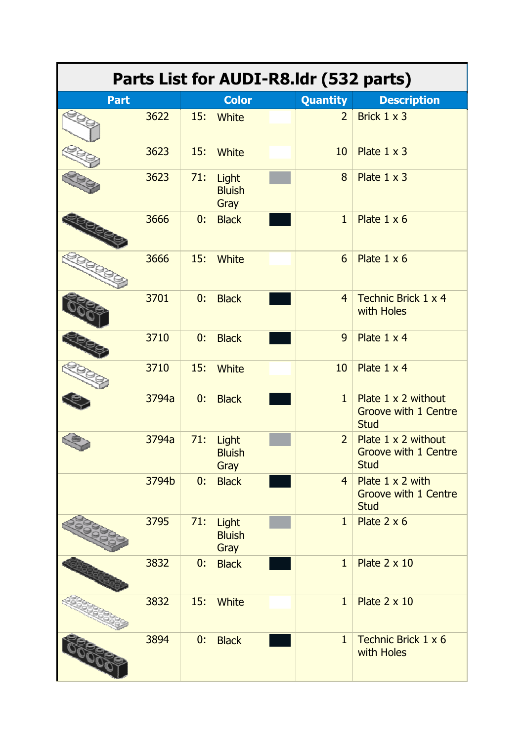| Parts List for AUDI-R8.Idr (532 parts) |       |     |                                |  |                 |                                                                          |  |
|----------------------------------------|-------|-----|--------------------------------|--|-----------------|--------------------------------------------------------------------------|--|
| <b>Part</b>                            |       |     | <b>Color</b>                   |  | <b>Quantity</b> | <b>Description</b>                                                       |  |
|                                        | 3622  | 15: | <b>White</b>                   |  | $\overline{2}$  | Brick 1 x 3                                                              |  |
|                                        | 3623  | 15: | <b>White</b>                   |  | 10              | Plate $1 \times 3$                                                       |  |
|                                        | 3623  | 71: | Light<br><b>Bluish</b><br>Gray |  | 8               | Plate $1 \times 3$                                                       |  |
|                                        | 3666  | 0:  | <b>Black</b>                   |  | $\mathbf{1}$    | Plate $1 \times 6$                                                       |  |
|                                        | 3666  | 15: | <b>White</b>                   |  | 6               | Plate $1 \times 6$                                                       |  |
|                                        | 3701  | 0:  | <b>Black</b>                   |  | $\overline{4}$  | Technic Brick 1 x 4<br>with Holes                                        |  |
|                                        | 3710  | 0:  | <b>Black</b>                   |  | 9               | Plate 1 x 4                                                              |  |
|                                        | 3710  | 15: | <b>White</b>                   |  | 10              | Plate 1 x 4                                                              |  |
|                                        | 3794a | 0:  | <b>Black</b>                   |  | $\mathbf{1}$    | Plate $1 \times 2$ without<br><b>Groove with 1 Centre</b><br><b>Stud</b> |  |
|                                        | 3794a | 71: | Light<br><b>Bluish</b><br>Gray |  | $\overline{2}$  | Plate $1 \times 2$ without<br><b>Groove with 1 Centre</b><br><b>Stud</b> |  |
|                                        | 3794b | 0:  | <b>Black</b>                   |  | $\overline{4}$  | Plate 1 x 2 with<br><b>Groove with 1 Centre</b><br><b>Stud</b>           |  |
|                                        | 3795  | 71: | Light<br><b>Bluish</b><br>Gray |  | $\mathbf{1}$    | Plate $2 \times 6$                                                       |  |
|                                        | 3832  | 0:  | <b>Black</b>                   |  | $\mathbf{1}$    | Plate $2 \times 10$                                                      |  |
|                                        | 3832  | 15: | <b>White</b>                   |  | $\mathbf{1}$    | Plate $2 \times 10$                                                      |  |
|                                        | 3894  | 0:  | <b>Black</b>                   |  | $\mathbf{1}$    | Technic Brick 1 x 6<br>with Holes                                        |  |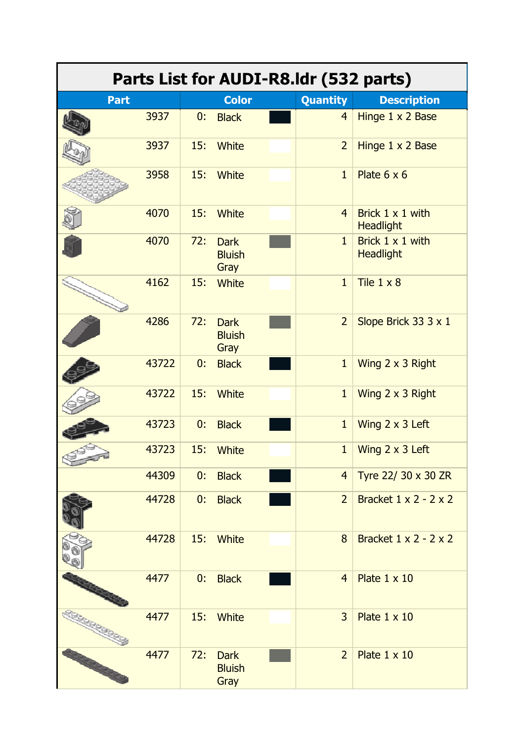| Parts List for AUDI-R8.Idr (532 parts) |       |     |                                      |  |                |                                             |  |
|----------------------------------------|-------|-----|--------------------------------------|--|----------------|---------------------------------------------|--|
| <b>Part</b>                            |       |     | <b>Color</b>                         |  | Quantity       | <b>Description</b>                          |  |
|                                        | 3937  | 0:  | <b>Black</b>                         |  | $\overline{4}$ | Hinge 1 x 2 Base                            |  |
|                                        | 3937  | 15: | <b>White</b>                         |  | $\overline{2}$ | Hinge 1 x 2 Base                            |  |
|                                        | 3958  | 15: | <b>White</b>                         |  | $\mathbf{1}$   | Plate $6 \times 6$                          |  |
|                                        | 4070  | 15: | <b>White</b>                         |  | $\overline{4}$ | Brick $1 \times 1$ with<br><b>Headlight</b> |  |
|                                        | 4070  | 72: | <b>Dark</b><br><b>Bluish</b><br>Gray |  | $\mathbf{1}$   | Brick 1 x 1 with<br><b>Headlight</b>        |  |
|                                        | 4162  | 15: | <b>White</b>                         |  | $\mathbf{1}$   | Tile $1 \times 8$                           |  |
|                                        | 4286  | 72: | <b>Dark</b><br><b>Bluish</b><br>Gray |  | $\overline{2}$ | Slope Brick 33 3 x 1                        |  |
|                                        | 43722 | 0:  | <b>Black</b>                         |  | $\mathbf{1}$   | Wing 2 x 3 Right                            |  |
|                                        | 43722 | 15: | White                                |  | $\mathbf{1}$   | Wing 2 x 3 Right                            |  |
|                                        | 43723 | 0:  | <b>Black</b>                         |  | $\mathbf{1}$   | Wing 2 x 3 Left                             |  |
|                                        | 43723 | 15: | <b>White</b>                         |  | $\mathbf{1}$   | Wing 2 x 3 Left                             |  |
|                                        | 44309 | 0:  | <b>Black</b>                         |  | $\overline{4}$ | Tyre 22/ 30 x 30 ZR                         |  |
|                                        | 44728 | 0:  | <b>Black</b>                         |  | $\overline{2}$ | Bracket $1 \times 2 - 2 \times 2$           |  |
|                                        | 44728 | 15: | White                                |  | 8              | Bracket $1 \times 2 - 2 \times 2$           |  |
|                                        | 4477  | 0:  | <b>Black</b>                         |  | $\overline{4}$ | Plate 1 x 10                                |  |
|                                        | 4477  | 15: | <b>White</b>                         |  | 3              | Plate 1 x 10                                |  |
|                                        | 4477  | 72: | <b>Dark</b><br><b>Bluish</b><br>Gray |  | $\overline{2}$ | Plate $1 \times 10$                         |  |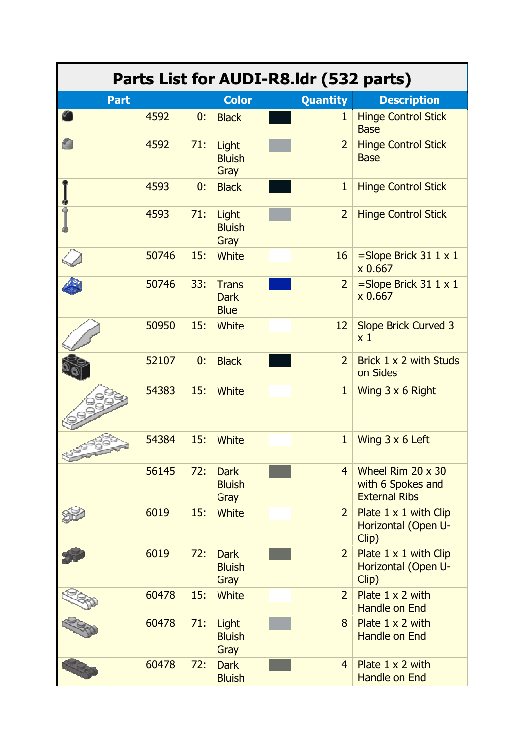| Parts List for AUDI-R8.Idr (532 parts) |       |     |                                            |  |                 |                                                                       |  |
|----------------------------------------|-------|-----|--------------------------------------------|--|-----------------|-----------------------------------------------------------------------|--|
| <b>Part</b>                            |       |     | <b>Color</b>                               |  | <b>Quantity</b> | <b>Description</b>                                                    |  |
|                                        | 4592  | 0:  | <b>Black</b>                               |  | $\mathbf{1}$    | <b>Hinge Control Stick</b><br><b>Base</b>                             |  |
|                                        | 4592  | 71: | Light<br><b>Bluish</b><br>Gray             |  | $\overline{2}$  | <b>Hinge Control Stick</b><br><b>Base</b>                             |  |
|                                        | 4593  | 0:  | <b>Black</b>                               |  | $\mathbf{1}$    | <b>Hinge Control Stick</b>                                            |  |
|                                        | 4593  | 71: | Light<br><b>Bluish</b><br>Gray             |  | $\overline{2}$  | <b>Hinge Control Stick</b>                                            |  |
|                                        | 50746 | 15: | <b>White</b>                               |  | 16              | $=$ Slope Brick 31 1 x 1<br>x 0.667                                   |  |
|                                        | 50746 | 33: | <b>Trans</b><br><b>Dark</b><br><b>Blue</b> |  | $\overline{2}$  | $=$ Slope Brick 31 1 $\times$ 1<br>x 0.667                            |  |
|                                        | 50950 | 15: | <b>White</b>                               |  | 12              | <b>Slope Brick Curved 3</b><br>x <sub>1</sub>                         |  |
|                                        | 52107 | 0:  | <b>Black</b>                               |  | $\overline{2}$  | Brick 1 x 2 with Studs<br>on Sides                                    |  |
|                                        | 54383 | 15: | <b>White</b>                               |  | $\mathbf{1}$    | Wing 3 x 6 Right                                                      |  |
|                                        | 54384 | 15: | <b>White</b>                               |  | $\mathbf{1}$    | Wing $3 \times 6$ Left                                                |  |
|                                        | 56145 | 72: | <b>Dark</b><br><b>Bluish</b><br>Gray       |  | $\overline{4}$  | Wheel Rim $20 \times 30$<br>with 6 Spokes and<br><b>External Ribs</b> |  |
|                                        | 6019  | 15: | <b>White</b>                               |  | $\overline{2}$  | Plate $1 \times 1$ with Clip<br>Horizontal (Open U-<br>Clip)          |  |
|                                        | 6019  | 72: | <b>Dark</b><br><b>Bluish</b><br>Gray       |  | $\overline{2}$  | Plate $1 \times 1$ with Clip<br>Horizontal (Open U-<br>Clip)          |  |
|                                        | 60478 | 15: | <b>White</b>                               |  | $\overline{2}$  | Plate $1 \times 2$ with<br>Handle on End                              |  |
|                                        | 60478 | 71: | Light<br><b>Bluish</b><br>Gray             |  | 8               | Plate $1 \times 2$ with<br>Handle on End                              |  |
|                                        | 60478 | 72: | <b>Dark</b><br><b>Bluish</b>               |  | $\overline{4}$  | Plate $1 \times 2$ with<br><b>Handle on End</b>                       |  |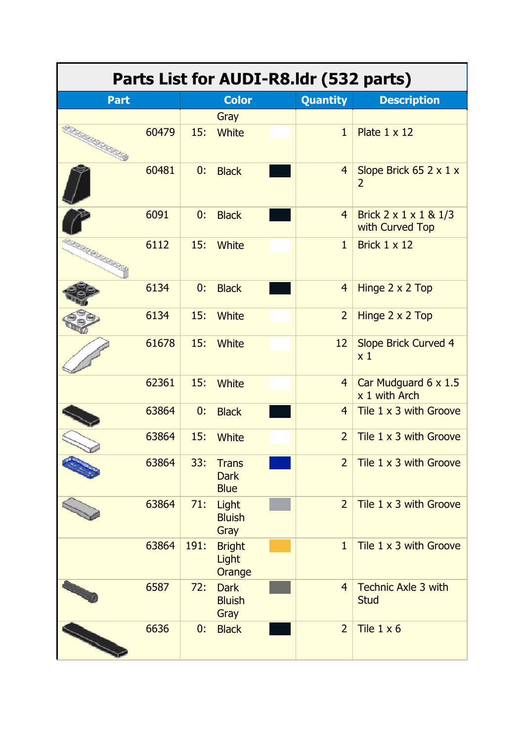| Parts List for AUDI-R8.Idr (532 parts) |       |      |                                            |  |                 |                                                       |  |
|----------------------------------------|-------|------|--------------------------------------------|--|-----------------|-------------------------------------------------------|--|
| <b>Part</b>                            |       |      | <b>Color</b>                               |  | <b>Quantity</b> | <b>Description</b>                                    |  |
|                                        |       |      | Gray                                       |  |                 |                                                       |  |
|                                        | 60479 | 15:  | <b>White</b>                               |  | $\mathbf{1}$    | Plate $1 \times 12$                                   |  |
|                                        | 60481 | 0:   | <b>Black</b>                               |  | $\overline{4}$  | Slope Brick 65 2 x 1 x<br>$\overline{2}$              |  |
|                                        | 6091  | 0:   | <b>Black</b>                               |  | $\overline{4}$  | Brick $2 \times 1 \times 1 \& 1/3$<br>with Curved Top |  |
| <b>LO GROOM</b>                        | 6112  | 15:  | White                                      |  | $\mathbf{1}$    | Brick $1 \times 12$                                   |  |
|                                        | 6134  | 0:   | <b>Black</b>                               |  | $\overline{4}$  | Hinge 2 x 2 Top                                       |  |
|                                        | 6134  | 15:  | White                                      |  | $\overline{2}$  | Hinge 2 x 2 Top                                       |  |
|                                        | 61678 | 15:  | <b>White</b>                               |  | 12              | <b>Slope Brick Curved 4</b><br>x <sub>1</sub>         |  |
|                                        | 62361 | 15:  | <b>White</b>                               |  | $\overline{4}$  | Car Mudguard 6 x 1.5<br>x 1 with Arch                 |  |
|                                        | 63864 | 0:   | <b>Black</b>                               |  | $\overline{4}$  | Tile 1 x 3 with Groove                                |  |
|                                        | 63864 | 15:  | <b>White</b>                               |  | $\overline{2}$  | Tile 1 x 3 with Groove                                |  |
|                                        | 63864 | 33:  | <b>Trans</b><br><b>Dark</b><br><b>Blue</b> |  | $\overline{2}$  | Tile 1 x 3 with Groove                                |  |
|                                        | 63864 | 71:  | Light<br><b>Bluish</b><br>Gray             |  | $\overline{2}$  | Tile 1 x 3 with Groove                                |  |
|                                        | 63864 | 191: | <b>Bright</b><br>Light<br>Orange           |  | $\mathbf{1}$    | Tile 1 x 3 with Groove                                |  |
|                                        | 6587  | 72:  | <b>Dark</b><br><b>Bluish</b><br>Gray       |  | $\overline{4}$  | <b>Technic Axle 3 with</b><br><b>Stud</b>             |  |
|                                        | 6636  | 0:   | <b>Black</b>                               |  | $\overline{2}$  | Tile $1 \times 6$                                     |  |